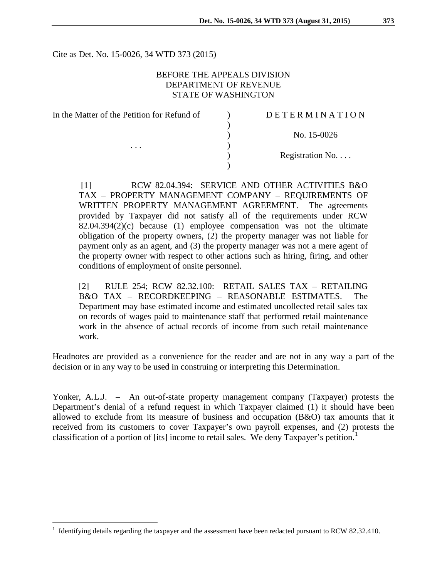Cite as Det. No. 15-0026, 34 WTD 373 (2015)

#### BEFORE THE APPEALS DIVISION DEPARTMENT OF REVENUE STATE OF WASHINGTON

)

)

| In the Matter of the Petition for Refund of |  |
|---------------------------------------------|--|
|                                             |  |

. . .  $\qquad \qquad$  )

 $D E T E R M I N A T I O N$ 

) No. 15-0026

Registration No. . . .

[1] RCW 82.04.394: SERVICE AND OTHER ACTIVITIES B&O TAX – PROPERTY MANAGEMENT COMPANY – REQUIREMENTS OF WRITTEN PROPERTY MANAGEMENT AGREEMENT. The agreements provided by Taxpayer did not satisfy all of the requirements under RCW 82.04.394(2)(c) because (1) employee compensation was not the ultimate obligation of the property owners, (2) the property manager was not liable for payment only as an agent, and (3) the property manager was not a mere agent of the property owner with respect to other actions such as hiring, firing, and other conditions of employment of onsite personnel.

[2] RULE 254; RCW 82.32.100: RETAIL SALES TAX – RETAILING B&O TAX – RECORDKEEPING – REASONABLE ESTIMATES. The Department may base estimated income and estimated uncollected retail sales tax on records of wages paid to maintenance staff that performed retail maintenance work in the absence of actual records of income from such retail maintenance work.

Headnotes are provided as a convenience for the reader and are not in any way a part of the decision or in any way to be used in construing or interpreting this Determination.

Yonker, A.L.J. – An out-of-state property management company (Taxpayer) protests the Department's denial of a refund request in which Taxpayer claimed (1) it should have been allowed to exclude from its measure of business and occupation (B&O) tax amounts that it received from its customers to cover Taxpayer's own payroll expenses, and (2) protests the classification of a portion of [its] income to retail sales. We deny Taxpayer's petition.<sup>[1](#page-0-0)</sup>

<span id="page-0-0"></span><sup>&</sup>lt;sup>1</sup> Identifying details regarding the taxpayer and the assessment have been redacted pursuant to RCW 82.32.410.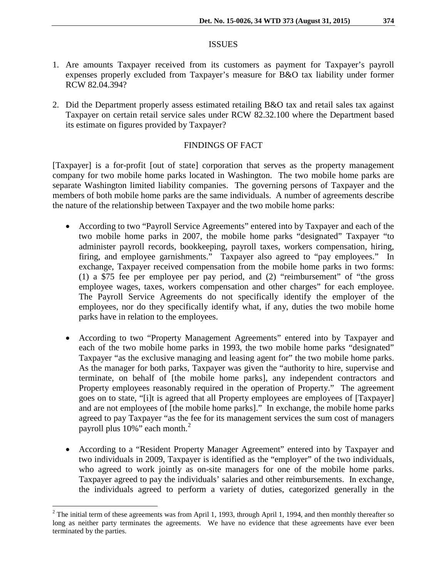#### **ISSUES**

- 1. Are amounts Taxpayer received from its customers as payment for Taxpayer's payroll expenses properly excluded from Taxpayer's measure for B&O tax liability under former RCW 82.04.394?
- 2. Did the Department properly assess estimated retailing B&O tax and retail sales tax against Taxpayer on certain retail service sales under RCW 82.32.100 where the Department based its estimate on figures provided by Taxpayer?

## FINDINGS OF FACT

[Taxpayer] is a for-profit [out of state] corporation that serves as the property management company for two mobile home parks located in Washington. The two mobile home parks are separate Washington limited liability companies. The governing persons of Taxpayer and the members of both mobile home parks are the same individuals. A number of agreements describe the nature of the relationship between Taxpayer and the two mobile home parks:

- According to two "Payroll Service Agreements" entered into by Taxpayer and each of the two mobile home parks in 2007, the mobile home parks "designated" Taxpayer "to administer payroll records, bookkeeping, payroll taxes, workers compensation, hiring, firing, and employee garnishments." Taxpayer also agreed to "pay employees." In exchange, Taxpayer received compensation from the mobile home parks in two forms: (1) a \$75 fee per employee per pay period, and (2) "reimbursement" of "the gross employee wages, taxes, workers compensation and other charges" for each employee. The Payroll Service Agreements do not specifically identify the employer of the employees, nor do they specifically identify what, if any, duties the two mobile home parks have in relation to the employees.
- According to two "Property Management Agreements" entered into by Taxpayer and each of the two mobile home parks in 1993, the two mobile home parks "designated" Taxpayer "as the exclusive managing and leasing agent for" the two mobile home parks. As the manager for both parks, Taxpayer was given the "authority to hire, supervise and terminate, on behalf of [the mobile home parks], any independent contractors and Property employees reasonably required in the operation of Property." The agreement goes on to state, "[i]t is agreed that all Property employees are employees of [Taxpayer] and are not employees of [the mobile home parks]." In exchange, the mobile home parks agreed to pay Taxpayer "as the fee for its management services the sum cost of managers payroll plus  $10\%$ " each month. $^{2}$  $^{2}$  $^{2}$
- According to a "Resident Property Manager Agreement" entered into by Taxpayer and two individuals in 2009, Taxpayer is identified as the "employer" of the two individuals, who agreed to work jointly as on-site managers for one of the mobile home parks. Taxpayer agreed to pay the individuals' salaries and other reimbursements. In exchange, the individuals agreed to perform a variety of duties, categorized generally in the

<span id="page-1-0"></span> $^{2}$  The initial term of these agreements was from April 1, 1993, through April 1, 1994, and then monthly thereafter so long as neither party terminates the agreements. We have no evidence that these agreements have ever been terminated by the parties.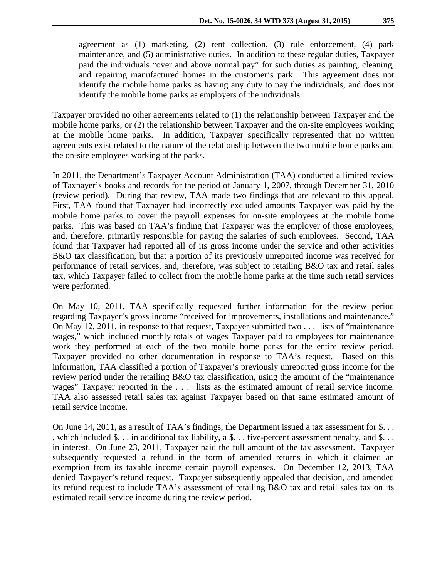agreement as (1) marketing, (2) rent collection, (3) rule enforcement, (4) park maintenance, and (5) administrative duties. In addition to these regular duties, Taxpayer paid the individuals "over and above normal pay" for such duties as painting, cleaning, and repairing manufactured homes in the customer's park. This agreement does not identify the mobile home parks as having any duty to pay the individuals, and does not identify the mobile home parks as employers of the individuals.

Taxpayer provided no other agreements related to (1) the relationship between Taxpayer and the mobile home parks, or (2) the relationship between Taxpayer and the on-site employees working at the mobile home parks. In addition, Taxpayer specifically represented that no written agreements exist related to the nature of the relationship between the two mobile home parks and the on-site employees working at the parks.

In 2011, the Department's Taxpayer Account Administration (TAA) conducted a limited review of Taxpayer's books and records for the period of January 1, 2007, through December 31, 2010 (review period). During that review, TAA made two findings that are relevant to this appeal. First, TAA found that Taxpayer had incorrectly excluded amounts Taxpayer was paid by the mobile home parks to cover the payroll expenses for on-site employees at the mobile home parks. This was based on TAA's finding that Taxpayer was the employer of those employees, and, therefore, primarily responsible for paying the salaries of such employees. Second, TAA found that Taxpayer had reported all of its gross income under the service and other activities B&O tax classification, but that a portion of its previously unreported income was received for performance of retail services, and, therefore, was subject to retailing B&O tax and retail sales tax, which Taxpayer failed to collect from the mobile home parks at the time such retail services were performed.

On May 10, 2011, TAA specifically requested further information for the review period regarding Taxpayer's gross income "received for improvements, installations and maintenance." On May 12, 2011, in response to that request, Taxpayer submitted two . . . lists of "maintenance wages," which included monthly totals of wages Taxpayer paid to employees for maintenance work they performed at each of the two mobile home parks for the entire review period. Taxpayer provided no other documentation in response to TAA's request. Based on this information, TAA classified a portion of Taxpayer's previously unreported gross income for the review period under the retailing B&O tax classification, using the amount of the "maintenance wages" Taxpayer reported in the ... lists as the estimated amount of retail service income. TAA also assessed retail sales tax against Taxpayer based on that same estimated amount of retail service income.

On June 14, 2011, as a result of TAA's findings, the Department issued a tax assessment for \$. . . , which included \$. . . in additional tax liability, a \$. . . five-percent assessment penalty, and \$. . . in interest. On June 23, 2011, Taxpayer paid the full amount of the tax assessment. Taxpayer subsequently requested a refund in the form of amended returns in which it claimed an exemption from its taxable income certain payroll expenses. On December 12, 2013, TAA denied Taxpayer's refund request. Taxpayer subsequently appealed that decision, and amended its refund request to include TAA's assessment of retailing B&O tax and retail sales tax on its estimated retail service income during the review period.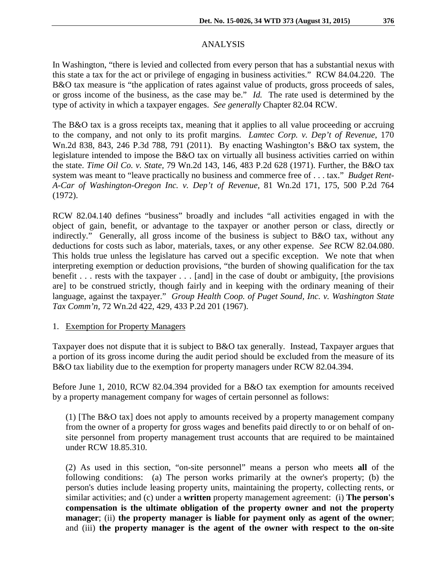# ANALYSIS

In Washington, "there is levied and collected from every person that has a substantial nexus with this state a tax for the act or privilege of engaging in business activities." RCW 84.04.220. The B&O tax measure is "the application of rates against value of products, gross proceeds of sales, or gross income of the business, as the case may be." *Id.* The rate used is determined by the type of activity in which a taxpayer engages. *See generally* Chapter 82.04 RCW.

The B&O tax is a gross receipts tax, meaning that it applies to all value proceeding or accruing to the company, and not only to its profit margins. *Lamtec Corp. v. Dep't of Revenue*, 170 Wn.2d 838, 843, 246 P.3d 788, 791 (2011). By enacting Washington's B&O tax system, the legislature intended to impose the B&O tax on virtually all business activities carried on within the state. *Time Oil Co. v. State,* 79 Wn.2d 143, 146, 483 P.2d 628 (1971). Further, the B&O tax system was meant to "leave practically no business and commerce free of . . . tax." *Budget Rent-A-Car of Washington-Oregon Inc. v. Dep't of Revenue,* 81 Wn.2d 171, 175, 500 P.2d 764 (1972).

RCW 82.04.140 defines "business" broadly and includes "all activities engaged in with the object of gain, benefit, or advantage to the taxpayer or another person or class, directly or indirectly." Generally, all gross income of the business is subject to B&O tax, without any deductions for costs such as labor, materials, taxes, or any other expense. *See* RCW 82.04.080. This holds true unless the legislature has carved out a specific exception. We note that when interpreting exemption or deduction provisions, "the burden of showing qualification for the tax benefit . . . rests with the taxpayer . . . [and] in the case of doubt or ambiguity, [the provisions are] to be construed strictly, though fairly and in keeping with the ordinary meaning of their language, against the taxpayer." *Group Health Coop. of Puget Sound, Inc. v. Washington State Tax Comm'n,* 72 Wn.2d 422, 429, 433 P.2d 201 (1967).

## 1. Exemption for Property Managers

Taxpayer does not dispute that it is subject to B&O tax generally. Instead, Taxpayer argues that a portion of its gross income during the audit period should be excluded from the measure of its B&O tax liability due to the exemption for property managers under RCW 82.04.394.

Before June 1, 2010, RCW 82.04.394 provided for a B&O tax exemption for amounts received by a property management company for wages of certain personnel as follows:

(1) [The B&O tax] does not apply to amounts received by a property management company from the owner of a property for gross wages and benefits paid directly to or on behalf of onsite personnel from property management trust accounts that are required to be maintained under RCW 18.85.310.

(2) As used in this section, "on-site personnel" means a person who meets **all** of the following conditions: (a) The person works primarily at the owner's property; (b) the person's duties include leasing property units, maintaining the property, collecting rents, or similar activities; and (c) under a **written** property management agreement: (i) **The person's compensation is the ultimate obligation of the property owner and not the property manager**; (ii) **the property manager is liable for payment only as agent of the owner**; and (iii) **the property manager is the agent of the owner with respect to the on-site**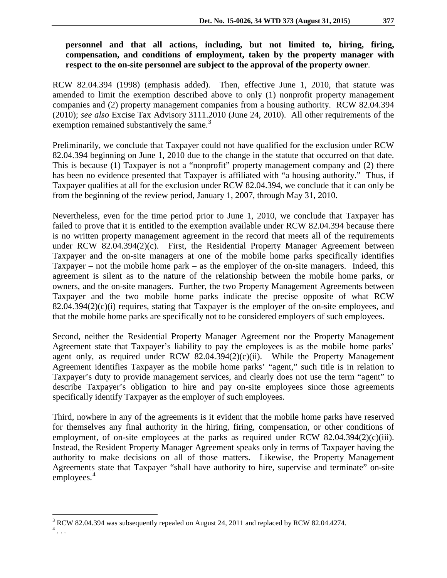# **personnel and that all actions, including, but not limited to, hiring, firing, compensation, and conditions of employment, taken by the property manager with respect to the on-site personnel are subject to the approval of the property owner**.

RCW 82.04.394 (1998) (emphasis added). Then, effective June 1, 2010, that statute was amended to limit the exemption described above to only (1) nonprofit property management companies and (2) property management companies from a housing authority. RCW 82.04.394 (2010); *see also* Excise Tax Advisory 3111.2010 (June 24, 2010). All other requirements of the exemption remained substantively the same. $3$ 

Preliminarily, we conclude that Taxpayer could not have qualified for the exclusion under RCW 82.04.394 beginning on June 1, 2010 due to the change in the statute that occurred on that date. This is because (1) Taxpayer is not a "nonprofit" property management company and (2) there has been no evidence presented that Taxpayer is affiliated with "a housing authority." Thus, if Taxpayer qualifies at all for the exclusion under RCW 82.04.394, we conclude that it can only be from the beginning of the review period, January 1, 2007, through May 31, 2010.

Nevertheless, even for the time period prior to June 1, 2010, we conclude that Taxpayer has failed to prove that it is entitled to the exemption available under RCW 82.04.394 because there is no written property management agreement in the record that meets all of the requirements under RCW 82.04.394(2)(c). First, the Residential Property Manager Agreement between Taxpayer and the on-site managers at one of the mobile home parks specifically identifies Taxpayer – not the mobile home park – as the employer of the on-site managers. Indeed, this agreement is silent as to the nature of the relationship between the mobile home parks, or owners, and the on-site managers. Further, the two Property Management Agreements between Taxpayer and the two mobile home parks indicate the precise opposite of what RCW 82.04.394(2)(c)(i) requires, stating that Taxpayer is the employer of the on-site employees, and that the mobile home parks are specifically not to be considered employers of such employees.

Second, neither the Residential Property Manager Agreement nor the Property Management Agreement state that Taxpayer's liability to pay the employees is as the mobile home parks' agent only, as required under RCW  $82.04.394(2)(c)(ii)$ . While the Property Management Agreement identifies Taxpayer as the mobile home parks' "agent," such title is in relation to Taxpayer's duty to provide management services, and clearly does not use the term "agent" to describe Taxpayer's obligation to hire and pay on-site employees since those agreements specifically identify Taxpayer as the employer of such employees.

Third, nowhere in any of the agreements is it evident that the mobile home parks have reserved for themselves any final authority in the hiring, firing, compensation, or other conditions of employment, of on-site employees at the parks as required under RCW 82.04.394 $(2)(c)(iii)$ . Instead, the Resident Property Manager Agreement speaks only in terms of Taxpayer having the authority to make decisions on all of those matters. Likewise, the Property Management Agreements state that Taxpayer "shall have authority to hire, supervise and terminate" on-site employees.<sup>[4](#page-4-1)</sup>

 $3$  RCW 82.04.394 was subsequently repealed on August 24, 2011 and replaced by RCW 82.04.4274.

<span id="page-4-1"></span><span id="page-4-0"></span> $\frac{4}{1}$ ...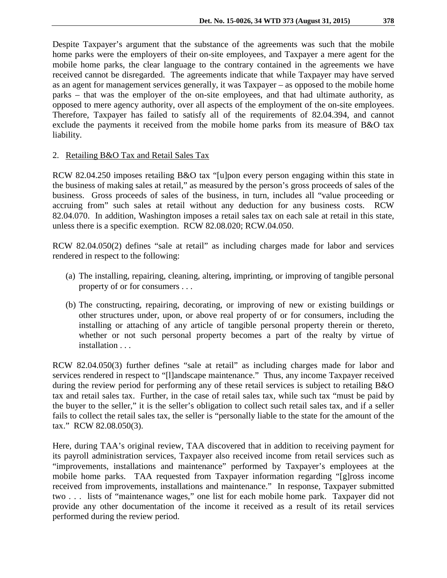Despite Taxpayer's argument that the substance of the agreements was such that the mobile home parks were the employers of their on-site employees, and Taxpayer a mere agent for the mobile home parks, the clear language to the contrary contained in the agreements we have received cannot be disregarded. The agreements indicate that while Taxpayer may have served as an agent for management services generally, it was Taxpayer – as opposed to the mobile home parks – that was the employer of the on-site employees, and that had ultimate authority, as opposed to mere agency authority, over all aspects of the employment of the on-site employees. Therefore, Taxpayer has failed to satisfy all of the requirements of 82.04.394, and cannot exclude the payments it received from the mobile home parks from its measure of B&O tax

2. Retailing B&O Tax and Retail Sales Tax

liability.

RCW 82.04.250 imposes retailing B&O tax "[u]pon every person engaging within this state in the business of making sales at retail," as measured by the person's gross proceeds of sales of the business. Gross proceeds of sales of the business, in turn, includes all "value proceeding or accruing from" such sales at retail without any deduction for any business costs. RCW 82.04.070. In addition, Washington imposes a retail sales tax on each sale at retail in this state, unless there is a specific exemption. RCW 82.08.020; RCW.04.050.

RCW 82.04.050(2) defines "sale at retail" as including charges made for labor and services rendered in respect to the following:

- (a) The installing, repairing, cleaning, altering, imprinting, or improving of tangible personal property of or for consumers . . .
- (b) The constructing, repairing, decorating, or improving of new or existing buildings or other structures under, upon, or above real property of or for consumers, including the installing or attaching of any article of tangible personal property therein or thereto, whether or not such personal property becomes a part of the realty by virtue of installation . . .

RCW 82.04.050(3) further defines "sale at retail" as including charges made for labor and services rendered in respect to "[1]andscape maintenance." Thus, any income Taxpayer received during the review period for performing any of these retail services is subject to retailing B&O tax and retail sales tax. Further, in the case of retail sales tax, while such tax "must be paid by the buyer to the seller," it is the seller's obligation to collect such retail sales tax, and if a seller fails to collect the retail sales tax, the seller is "personally liable to the state for the amount of the tax." RCW 82.08.050(3).

Here, during TAA's original review, TAA discovered that in addition to receiving payment for its payroll administration services, Taxpayer also received income from retail services such as "improvements, installations and maintenance" performed by Taxpayer's employees at the mobile home parks. TAA requested from Taxpayer information regarding "[g]ross income received from improvements, installations and maintenance." In response, Taxpayer submitted two . . . lists of "maintenance wages," one list for each mobile home park. Taxpayer did not provide any other documentation of the income it received as a result of its retail services performed during the review period.